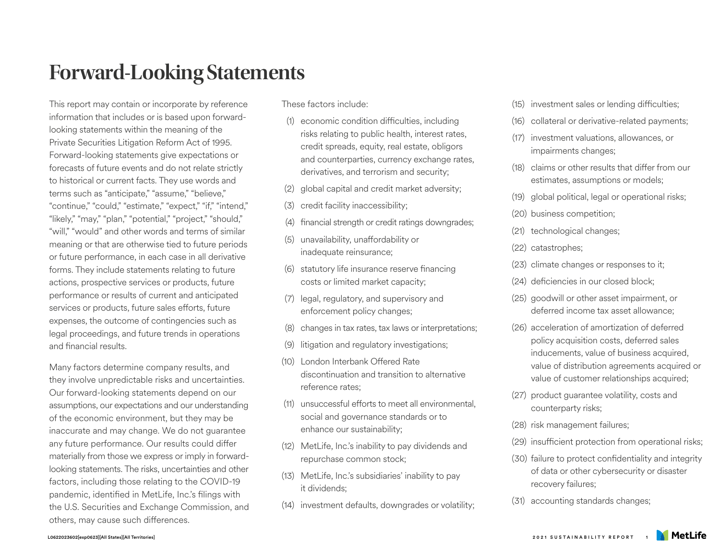## **Forward-Looking Statements**

This report may contain or incorporate by reference information that includes or is based upon forwardlooking statements within the meaning of the Private Securities Litigation Reform Act of 1995. Forward-looking statements give expectations or forecasts of future events and do not relate strictly to historical or current facts. They use words and terms such as "anticipate," "assume," "believe," "continue," "could," "estimate," "expect," "if," "intend," "likely," "may," "plan," "potential," "project," "should," "will," "would" and other words and terms of similar meaning or that are otherwise tied to future periods or future performance, in each case in all derivative forms. They include statements relating to future actions, prospective services or products, future performance or results of current and anticipated services or products, future sales efforts, future expenses, the outcome of contingencies such as legal proceedings, and future trends in operations and financial results.

Many factors determine company results, and they involve unpredictable risks and uncertainties. Our forward-looking statements depend on our assumptions, our expectations and our understanding of the economic environment, but they may be inaccurate and may change. We do not guarantee any future performance. Our results could differ materially from those we express or imply in forwardlooking statements. The risks, uncertainties and other factors, including those relating to the COVID-19 pandemic, identified in MetLife, Inc.'s filings with the U.S. Securities and Exchange Commission, and others, may cause such differences.

## These factors include:

- (1) economic condition difficulties, including risks relating to public health, interest rates, credit spreads, equity, real estate, obligors and counterparties, currency exchange rates, derivatives, and terrorism and security;
- (2) global capital and credit market adversity;
- (3) credit facility inaccessibility;
- (4) financial strength or credit ratings downgrades;
- (5) unavailability, unaffordability or inadequate reinsurance;
- (6) statutory life insurance reserve financing costs or limited market capacity;
- (7) legal, regulatory, and supervisory and enforcement policy changes;
- (8) changes in tax rates, tax laws or interpretations;
- (9) litigation and regulatory investigations;
- (10) London Interbank Offered Rate discontinuation and transition to alternative reference rates;
- (11) unsuccessful efforts to meet all environmental, social and governance standards or to enhance our sustainability;
- (12) MetLife, Inc.'s inability to pay dividends and repurchase common stock;
- (13) MetLife, Inc.'s subsidiaries' inability to pay it dividends;
- (14) investment defaults, downgrades or volatility;
- (15) investment sales or lending difficulties;
- (16) collateral or derivative-related payments;
- (17) investment valuations, allowances, or impairments changes;
- (18) claims or other results that differ from our estimates, assumptions or models;
- (19) global political, legal or operational risks;
- (20) business competition;
- (21) technological changes;
- (22) catastrophes;
- (23) climate changes or responses to it;
- (24) deficiencies in our closed block;
- (25) goodwill or other asset impairment, or deferred income tax asset allowance;
- (26) acceleration of amortization of deferred policy acquisition costs, deferred sales inducements, value of business acquired, value of distribution agreements acquired or value of customer relationships acquired;
- (27) product guarantee volatility, costs and counterparty risks;
- (28) risk management failures;
- (29) insufficient protection from operational risks;
- (30) failure to protect confidentiality and integrity of data or other cybersecurity or disaster recovery failures;
- (31) accounting standards changes;